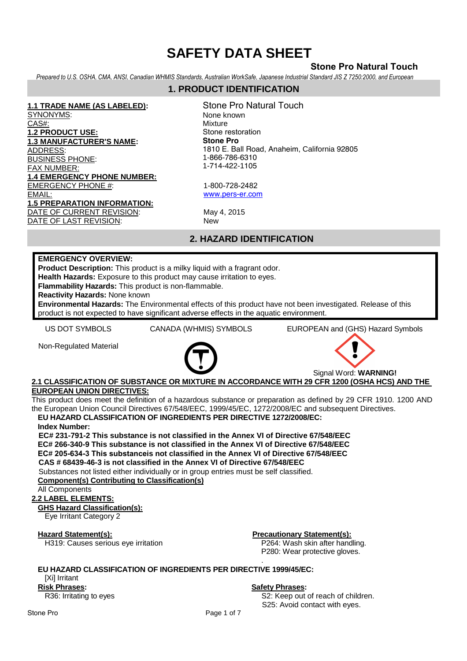# **Stone Pro Natural Touch**

*Prepared to U.S. OSHA, CMA, ANSI, Canadian WHMIS Standards, Australian WorkSafe, Japanese Industrial Standard JIS Z 7250:2000, and European* 

# **1. PRODUCT IDENTIFICATION**

**1.1 TRADE NAME (AS LABELED):** SYNONYMS: CAS#: **1.2 PRODUCT USE: 1.3 MANUFACTURER'S NAME:**  ADDRESS: BUSINESS PHONE: FAX NUMBER: **1.4 EMERGENCY PHONE NUMBER:** EMERGENCY PHONE #: EMAIL: **1.5 PREPARATION INFORMATION:**  DATE OF CURRENT REVISION: May 4, 2015 DATE OF LAST REVISION: New

Stone Pro Natural Touch None known Mixture Stone restoration **Stone Pro** 1810 E. Ball Road, Anaheim, California 92805 1-866-786-6310 1-714-422-1105

1-800-728-2482 www.pers-er.com

# **2. HAZARD IDENTIFICATION**

### **EMERGENCY OVERVIEW:**

**Product Description:** This product is a milky liquid with a fragrant odor.

**Health Hazards:** Exposure to this product may cause irritation to eyes.

**Flammability Hazards:** This product is non-flammable.

**Reactivity Hazards:** None known

**Environmental Hazards:** The Environmental effects of this product have not been investigated. Release of this product is not expected to have significant adverse effects in the aquatic environment.

US DOT SYMBOLS CANADA (WHMIS) SYMBOLS EUROPEAN and (GHS) Hazard Symbols

Non-Regulated Material





### **2.1 CLASSIFICATION OF SUBSTANCE OR MIXTURE IN ACCORDANCE WITH 29 CFR 1200 (OSHA HCS) AND THE EUROPEAN UNION DIRECTIVES:**

This product does meet the definition of a hazardous substance or preparation as defined by 29 CFR 1910. 1200 AND the European Union Council Directives 67/548/EEC, 1999/45/EC, 1272/2008/EC and subsequent Directives. **EU HAZARD CLASSIFICATION OF INGREDIENTS PER DIRECTIVE 1272/2008/EC:** 

**Index Number:** 

**EC# 231-791-2 This substance is not classified in the Annex VI of Directive 67/548/EEC EC# 266-340-9 This substance is not classified in the Annex VI of Directive 67/548/EEC EC# 205-634-3 This substanceis not classified in the Annex VI of Directive 67/548/EEC CAS # 68439-46-3 is not classified in the Annex VI of Directive 67/548/EEC** 

Substances not listed either individually or in group entries must be self classified.

**Component(s) Contributing to Classification(s)**

All Components

### **2.2 LABEL ELEMENTS:**

### **GHS Hazard Classification(s):**

Eye Irritant Category 2

**Hazard Statement(s):**<br>
H319: Causes serious eye irritation<br> **P264:** Wash skin after handling. H319: Causes serious eye irritation

P280: Wear protective gloves.

#### . **EU HAZARD CLASSIFICATION OF INGREDIENTS PER DIRECTIVE 1999/45/EC:** [Xi] Irritant

**Risk Phrases:**  R36: Irritating to eyes

### **Safety Phrases:**

S2: Keep out of reach of children. S25: Avoid contact with eyes.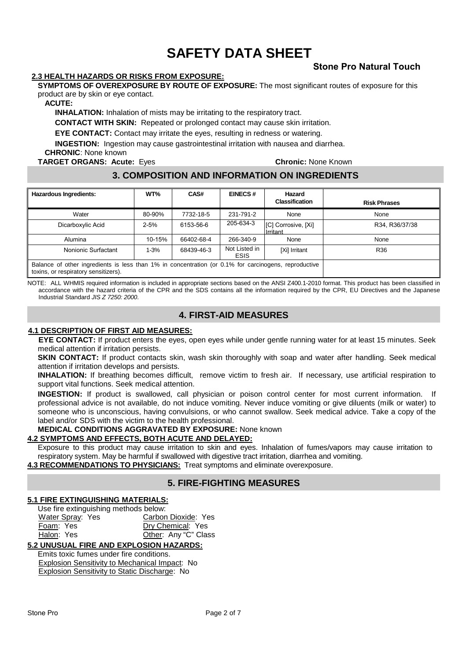### **2.3 HEALTH HAZARDS OR RISKS FROM EXPOSURE:**

**SYMPTOMS OF OVEREXPOSURE BY ROUTE OF EXPOSURE:** The most significant routes of exposure for this product are by skin or eye contact.

**ACUTE:** 

**INHALATION:** Inhalation of mists may be irritating to the respiratory tract.

**CONTACT WITH SKIN:** Repeated or prolonged contact may cause skin irritation.

**EYE CONTACT:** Contact may irritate the eyes, resulting in redness or watering.

**INGESTION:** Ingestion may cause gastrointestinal irritation with nausea and diarrhea.

**CHRONIC**: None known

**TARGET ORGANS: Acute:** Eyes **Chronic:** None Known

**Stone Pro Natural Touch**

# **3. COMPOSITION AND INFORMATION ON INGREDIENTS**

| <b>Hazardous Ingredients:</b>                                                                                                                | WT%      | CAS#       | <b>EINECS#</b>        | Hazard<br><b>Classification</b> | <b>Risk Phrases</b> |
|----------------------------------------------------------------------------------------------------------------------------------------------|----------|------------|-----------------------|---------------------------------|---------------------|
| Water                                                                                                                                        | 80-90%   | 7732-18-5  | 231-791-2             | None                            | None                |
| Dicarboxylic Acid                                                                                                                            | $2 - 5%$ | 6153-56-6  | 205-634-3             | [C] Corrosive, [Xi]<br>Irritant | R34, R36/37/38      |
| Alumina                                                                                                                                      | 10-15%   | 66402-68-4 | 266-340-9             | None                            | None                |
| Nonionic Surfactant                                                                                                                          | $1 - 3%$ | 68439-46-3 | Not Listed in<br>ESIS | [Xi] Irritant                   | R36                 |
| Balance of other ingredients is less than 1% in concentration (or 0.1% for carcinogens, reproductive<br>toxins, or respiratory sensitizers). |          |            |                       |                                 |                     |

NOTE: ALL WHMIS required information is included in appropriate sections based on the ANSI Z400.1-2010 format. This product has been classified in accordance with the hazard criteria of the CPR and the SDS contains all the information required by the CPR, EU Directives and the Japanese Industrial Standard JIS Z 7250: 2000.

# **4. FIRST-AID MEASURES**

### **4.1 DESCRIPTION OF FIRST AID MEASURES:**

**EYE CONTACT:** If product enters the eyes, open eyes while under gentle running water for at least 15 minutes. Seek medical attention if irritation persists.

**SKIN CONTACT:** If product contacts skin, wash skin thoroughly with soap and water after handling. Seek medical attention if irritation develops and persists.

**INHALATION:** If breathing becomes difficult, remove victim to fresh air. If necessary, use artificial respiration to support vital functions. Seek medical attention.

**INGESTION:** If product is swallowed, call physician or poison control center for most current information. If professional advice is not available, do not induce vomiting. Never induce vomiting or give diluents (milk or water) to someone who is unconscious, having convulsions, or who cannot swallow. Seek medical advice. Take a copy of the label and/or SDS with the victim to the health professional.

### **MEDICAL CONDITIONS AGGRAVATED BY EXPOSURE:** None known

### **4.2 SYMPTOMS AND EFFECTS, BOTH ACUTE AND DELAYED:**

Exposure to this product may cause irritation to skin and eyes. Inhalation of fumes/vapors may cause irritation to respiratory system. May be harmful if swallowed with digestive tract irritation, diarrhea and vomiting.

**4.3 RECOMMENDATIONS TO PHYSICIANS:** Treat symptoms and eliminate overexposure.

# **5. FIRE-FIGHTING MEASURES**

### **5.1 FIRE EXTINGUISHING MATERIALS:**

| Use fire extinguishing methods below: |                      |  |  |  |  |
|---------------------------------------|----------------------|--|--|--|--|
| Water Spray: Yes                      | Carbon Dioxide: Yes  |  |  |  |  |
| Foam: Yes                             | Dry Chemical: Yes    |  |  |  |  |
| Halon: Yes                            | Other: Any "C" Class |  |  |  |  |

# **5.2 UNUSUAL FIRE AND EXPLOSION HAZARDS:**

Emits toxic fumes under fire conditions. Explosion Sensitivity to Mechanical Impact: No Explosion Sensitivity to Static Discharge: No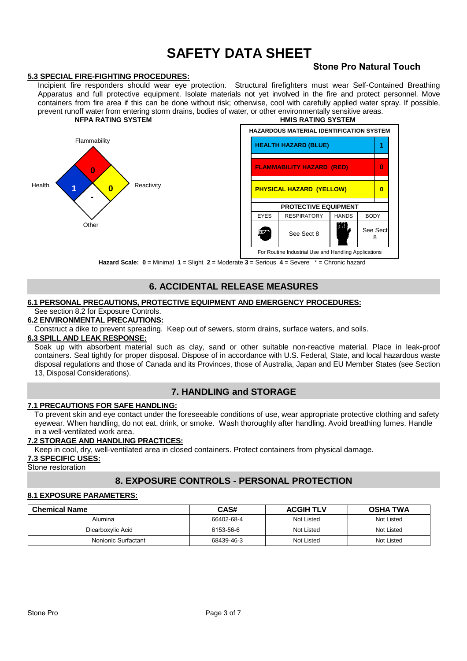### **5.3 SPECIAL FIRE-FIGHTING PROCEDURES:**

# **Stone Pro Natural Touch**

Incipient fire responders should wear eye protection. Structural firefighters must wear Self-Contained Breathing Apparatus and full protective equipment. Isolate materials not yet involved in the fire and protect personnel. Move containers from fire area if this can be done without risk; otherwise, cool with carefully applied water spray. If possible, prevent runoff water from entering storm drains, bodies of water, or other environmentally sensitive areas.<br>NEPA RATING SYSTEM **NFPA RATING SYSTEM HMIS RATING SYSTEM**



**Hazard Scale: 0** = Minimal **1** = Slight **2** = Moderate **3** = Serious **4** = Severe \* = Chronic hazard

# **6. ACCIDENTAL RELEASE MEASURES**

### **6.1 PERSONAL PRECAUTIONS, PROTECTIVE EQUIPMENT AND EMERGENCY PROCEDURES:**

# See section 8.2 for Exposure Controls.

# **6.2 ENVIRONMENTAL PRECAUTIONS:**

Construct a dike to prevent spreading.Keep out of sewers, storm drains, surface waters, and soils.

# **6.3 SPILL AND LEAK RESPONSE:**

Soak up with absorbent material such as clay, sand or other suitable non-reactive material. Place in leak-proof containers. Seal tightly for proper disposal. Dispose of in accordance with U.S. Federal, State, and local hazardous waste disposal regulations and those of Canada and its Provinces, those of Australia, Japan and EU Member States (see Section 13, Disposal Considerations).

# **7. HANDLING and STORAGE**

### **7.1 PRECAUTIONS FOR SAFE HANDLING:**

To prevent skin and eye contact under the foreseeable conditions of use, wear appropriate protective clothing and safety eyewear. When handling, do not eat, drink, or smoke. Wash thoroughly after handling. Avoid breathing fumes. Handle in a well-ventilated work area.

### **7.2 STORAGE AND HANDLING PRACTICES:**

Keep in cool, dry, well-ventilated area in closed containers. Protect containers from physical damage.

### **7.3 SPECIFIC USES:**

Stone restoration

# **8. EXPOSURE CONTROLS - PERSONAL PROTECTION**

### **8.1 EXPOSURE PARAMETERS:**

| <b>Chemical Name</b> | CAS#       | <b>ACGIH TLV</b> | <b>OSHA TWA</b> |
|----------------------|------------|------------------|-----------------|
| Alumina              | 66402-68-4 | Not Listed       | Not Listed      |
| Dicarboxylic Acid    | 6153-56-6  | Not Listed       | Not Listed      |
| Nonionic Surfactant  | 68439-46-3 | Not Listed       | Not Listed      |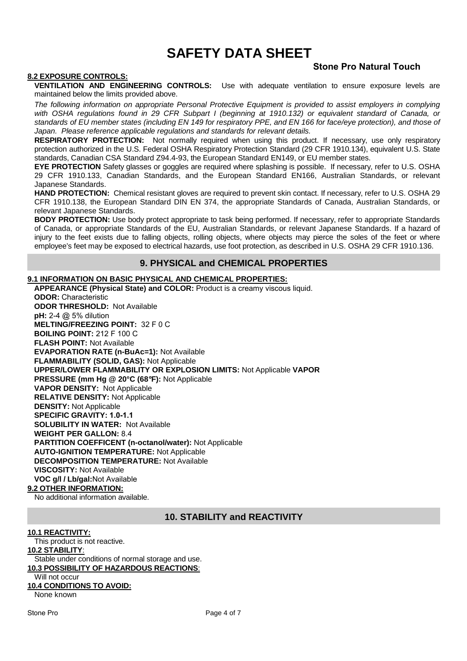### **8.2 EXPOSURE CONTROLS:**

# **Stone Pro Natural Touch**

**VENTILATION AND ENGINEERING CONTROLS:** Use with adequate ventilation to ensure exposure levels are maintained below the limits provided above.

The following information on appropriate Personal Protective Equipment is provided to assist employers in complying with OSHA regulations found in 29 CFR Subpart I (beginning at 1910.132) or equivalent standard of Canada, or standards of EU member states (including EN 149 for respiratory PPE, and EN 166 for face/eye protection), and those of Japan. Please reference applicable regulations and standards for relevant details.

**RESPIRATORY PROTECTION:** Not normally required when using this product. If necessary, use only respiratory protection authorized in the U.S. Federal OSHA Respiratory Protection Standard (29 CFR 1910.134), equivalent U.S. State standards, Canadian CSA Standard Z94.4-93, the European Standard EN149, or EU member states.

**EYE PROTECTION** Safety glasses or goggles are required where splashing is possible. If necessary, refer to U.S. OSHA 29 CFR 1910.133, Canadian Standards, and the European Standard EN166, Australian Standards, or relevant Japanese Standards.

HAND PROTECTION: Chemical resistant gloves are required to prevent skin contact. If necessary, refer to U.S. OSHA 29 CFR 1910.138, the European Standard DIN EN 374, the appropriate Standards of Canada, Australian Standards, or relevant Japanese Standards.

**BODY PROTECTION:** Use body protect appropriate to task being performed. If necessary, refer to appropriate Standards of Canada, or appropriate Standards of the EU, Australian Standards, or relevant Japanese Standards. If a hazard of injury to the feet exists due to falling objects, rolling objects, where objects may pierce the soles of the feet or where employee's feet may be exposed to electrical hazards, use foot protection, as described in U.S. OSHA 29 CFR 1910.136.

### **9. PHYSICAL and CHEMICAL PROPERTIES**

### **9.1 INFORMATION ON BASIC PHYSICAL AND CHEMICAL PROPERTIES:**

**APPEARANCE (Physical State) and COLOR:** Product is a creamy viscous liquid. **ODOR:** Characteristic **ODOR THRESHOLD:** Not Available **pH:** 2-4 @ 5% dilution **MELTING/FREEZING POINT:** 32 F 0 C **BOILING POINT:** 212 F 100 C **FLASH POINT:** Not Available **EVAPORATION RATE (n-BuAc=1):** Not Available **FLAMMABILITY (SOLID, GAS):** Not Applicable **UPPER/LOWER FLAMMABILITY OR EXPLOSION LIMITS:** Not Applicable **VAPOR PRESSURE (mm Hg @ 20°C (68**°**F):** Not Applicable **VAPOR DENSITY:** Not Applicable **RELATIVE DENSITY:** Not Applicable **DENSITY:** Not Applicable **SPECIFIC GRAVITY: 1.0-1.1 SOLUBILITY IN WATER:** Not Available **WEIGHT PER GALLON:** 8.4 **PARTITION COEFFICENT (n-octanol/water):** Not Applicable **AUTO-IGNITION TEMPERATURE:** Not Applicable **DECOMPOSITION TEMPERATURE:** Not Available **VISCOSITY:** Not Available **VOC g/l / Lb/gal:**Not Available **9.2 OTHER INFORMATION:**

No additional information available.

### **10. STABILITY and REACTIVITY**

### **10.1 REACTIVITY:**

This product is not reactive. **10.2 STABILITY**: Stable under conditions of normal storage and use. **10.3 POSSIBILITY OF HAZARDOUS REACTIONS**: Will not occur **10.4 CONDITIONS TO AVOID:** None known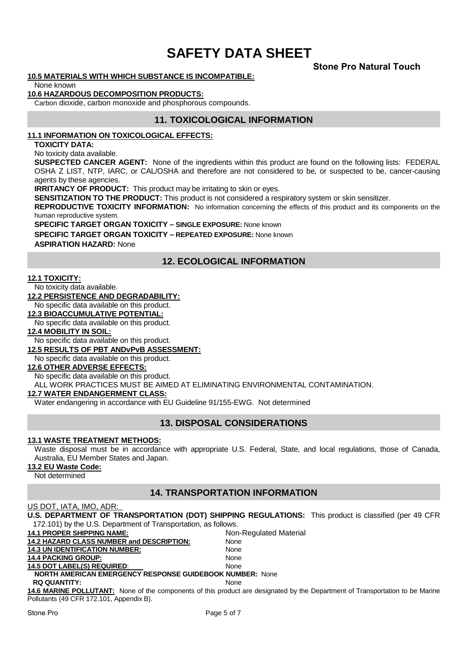# **Stone Pro Natural Touch**

### **10.5 MATERIALS WITH WHICH SUBSTANCE IS INCOMPATIBLE:**

None known

### **10.6 HAZARDOUS DECOMPOSITION PRODUCTS:**

Carbon dioxide, carbon monoxide and phosphorous compounds.

### **11. TOXICOLOGICAL INFORMATION**

### **11.1 INFORMATION ON TOXICOLOGICAL EFFECTS:**

**TOXICITY DATA:** 

No toxicity data available.

**SUSPECTED CANCER AGENT:** None of the ingredients within this product are found on the following lists: FEDERAL OSHA Z LIST, NTP, IARC, or CAL/OSHA and therefore are not considered to be, or suspected to be, cancer-causing agents by these agencies.

**IRRITANCY OF PRODUCT:** This product may be irritating to skin or eyes.

**SENSITIZATION TO THE PRODUCT:** This product is not considered a respiratory system or skin sensitizer.

**REPRODUCTIVE TOXICITY INFORMATION:** No information concerning the effects of this product and its components on the human reproductive system.

**SPECIFIC TARGET ORGAN TOXICITY – SINGLE EXPOSURE:** None known **SPECIFIC TARGET ORGAN TOXICITY – REPEATED EXPOSURE:** None known **ASPIRATION HAZARD:** None

# **12. ECOLOGICAL INFORMATION**

### **12.1 TOXICITY:**

No toxicity data available.

**12.2 PERSISTENCE AND DEGRADABILITY:** 

No specific data available on this product.

**12.3 BIOACCUMULATIVE POTENTIAL:** 

No specific data available on this product.

### **12.4 MOBILITY IN SOIL:**

No specific data available on this product.

### **12.5 RESULTS OF PBT ANDvPvB ASSESSMENT:**

No specific data available on this product.

### **12.6 OTHER ADVERSE EFFECTS:**

No specific data available on this product.

ALL WORK PRACTICES MUST BE AIMED AT ELIMINATING ENVIRONMENTAL CONTAMINATION.

### **12.7 WATER ENDANGERMENT CLASS:**

Water endangering in accordance with EU Guideline 91/155-EWG. Not determined

# **13. DISPOSAL CONSIDERATIONS**

### **13.1 WASTE TREATMENT METHODS:**

Waste disposal must be in accordance with appropriate U.S. Federal, State, and local regulations, those of Canada, Australia, EU Member States and Japan.

**13.2 EU Waste Code:**

Not determined

# **14. TRANSPORTATION INFORMATION**

### US DOT, IATA, IMO, ADR:

| U.S. DEPARTMENT OF TRANSPORTATION (DOT) SHIPPING REGULATIONS: This product is classified (per 49 CFR |                        |  |  |  |  |
|------------------------------------------------------------------------------------------------------|------------------------|--|--|--|--|
| 172.101) by the U.S. Department of Transportation, as follows.                                       |                        |  |  |  |  |
| <b>14.1 PROPER SHIPPING NAME:</b>                                                                    | Non-Regulated Material |  |  |  |  |
| <b>14.2 HAZARD CLASS NUMBER and DESCRIPTION:</b>                                                     | None                   |  |  |  |  |
| <b>14.3 UN IDENTIFICATION NUMBER:</b>                                                                | None                   |  |  |  |  |
| <b>14.4 PACKING GROUP:</b>                                                                           | None                   |  |  |  |  |
| <b>14.5 DOT LABEL(S) REQUIRED:</b>                                                                   | None                   |  |  |  |  |
| <b>NORTH AMERICAN EMERGENCY RESPONSE GUIDEBOOK NUMBER: None</b>                                      |                        |  |  |  |  |
| <b>RO OUANTITY:</b>                                                                                  | None                   |  |  |  |  |

**14.6 MARINE POLLUTANT:** None of the components of this product are designated by the Department of Transportation to be Marine Pollutants (49 CFR 172.101, Appendix B).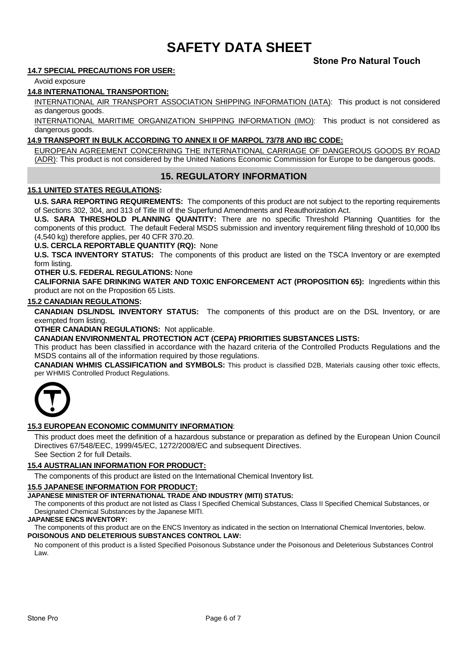# **Stone Pro Natural Touch**

### **14.7 SPECIAL PRECAUTIONS FOR USER:**

Avoid exposure

### **14.8 INTERNATIONAL TRANSPORTION:**

INTERNATIONAL AIR TRANSPORT ASSOCIATION SHIPPING INFORMATION (IATA): This product is not considered as dangerous goods.

INTERNATIONAL MARITIME ORGANIZATION SHIPPING INFORMATION (IMO): This product is not considered as dangerous goods.

### **14.9 TRANSPORT IN BULK ACCORDING TO ANNEX II OF MARPOL 73/78 AND IBC CODE:**

EUROPEAN AGREEMENT CONCERNING THE INTERNATIONAL CARRIAGE OF DANGEROUS GOODS BY ROAD (ADR): This product is not considered by the United Nations Economic Commission for Europe to be dangerous goods.

# **15. REGULATORY INFORMATION**

### **15.1 UNITED STATES REGULATIONS:**

**U.S. SARA REPORTING REQUIREMENTS:** The components of this product are not subject to the reporting requirements of Sections 302, 304, and 313 of Title III of the Superfund Amendments and Reauthorization Act.

**U.S. SARA THRESHOLD PLANNING QUANTITY:** There are no specific Threshold Planning Quantities for the components of this product. The default Federal MSDS submission and inventory requirement filing threshold of 10,000 lbs (4,540 kg) therefore applies, per 40 CFR 370.20.

**U.S. CERCLA REPORTABLE QUANTITY (RQ):** None

**U.S. TSCA INVENTORY STATUS:** The components of this product are listed on the TSCA Inventory or are exempted form listing.

### **OTHER U.S. FEDERAL REGULATIONS:** None

**CALIFORNIA SAFE DRINKING WATER AND TOXIC ENFORCEMENT ACT (PROPOSITION 65):** Ingredients within this product are not on the Proposition 65 Lists.

### **15.2 CANADIAN REGULATIONS:**

**CANADIAN DSL/NDSL INVENTORY STATUS:** The components of this product are on the DSL Inventory, or are exempted from listing.

**OTHER CANADIAN REGULATIONS:** Not applicable.

**CANADIAN ENVIRONMENTAL PROTECTION ACT (CEPA) PRIORITIES SUBSTANCES LISTS:**

This product has been classified in accordance with the hazard criteria of the Controlled Products Regulations and the MSDS contains all of the information required by those regulations.

**CANADIAN WHMIS CLASSIFICATION and SYMBOLS:** This product is classified D2B, Materials causing other toxic effects, per WHMIS Controlled Product Regulations.



### **15.3 EUROPEAN ECONOMIC COMMUNITY INFORMATION**:

This product does meet the definition of a hazardous substance or preparation as defined by the European Union Council Directives 67/548/EEC, 1999/45/EC, 1272/2008/EC and subsequent Directives. See Section 2 for full Details.

### **15.4 AUSTRALIAN INFORMATION FOR PRODUCT:**

The components of this product are listed on the International Chemical Inventory list.

### **15.5 JAPANESE INFORMATION FOR PRODUCT:**

#### **JAPANESE MINISTER OF INTERNATIONAL TRADE AND INDUSTRY (MITI) STATUS:**

The components of this product are not listed as Class I Specified Chemical Substances, Class II Specified Chemical Substances, or Designated Chemical Substances by the Japanese MITI.

#### **JAPANESE ENCS INVENTORY:**

The components of this product are on the ENCS Inventory as indicated in the section on International Chemical Inventories, below. **POISONOUS AND DELETERIOUS SUBSTANCES CONTROL LAW:**

No component of this product is a listed Specified Poisonous Substance under the Poisonous and Deleterious Substances Control Law.